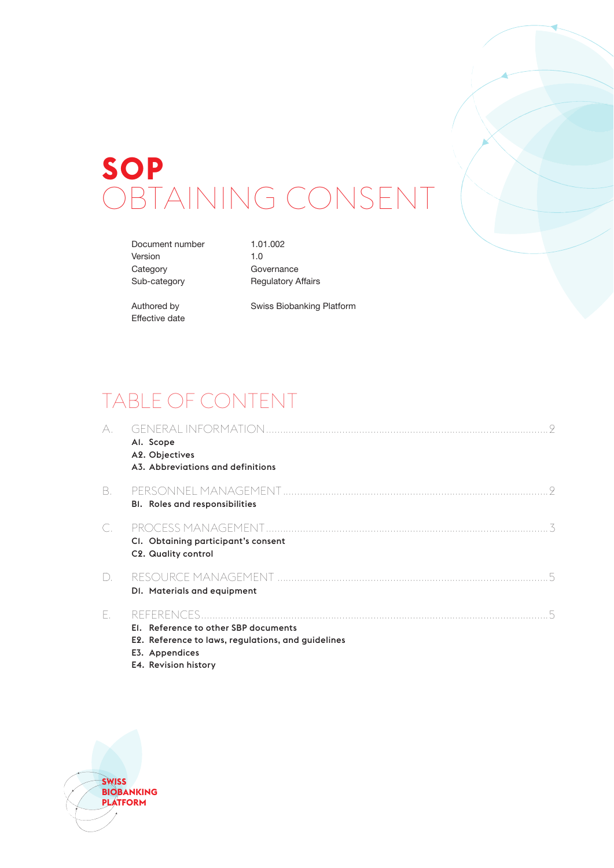# **SOP** OBTAINING CONSENT

Document number 1.01.002 Version 1.0 Category **Governance** 

Sub-category Regulatory Affairs

Effective date

Authored by Swiss Biobanking Platform

# TABLE OF CONTENT

| A. | Al. Scope<br>A2. Objectives<br>A3. Abbreviations and definitions                                             |
|----|--------------------------------------------------------------------------------------------------------------|
| В. | <b>BI.</b> Roles and responsibilities                                                                        |
|    | CI. Obtaining participant's consent<br>C2. Quality control                                                   |
| D. | DI. Materials and equipment                                                                                  |
| Ε. | El. Reference to other SBP documents<br>E2. Reference to laws, regulations, and guidelines<br>E3. Appendices |



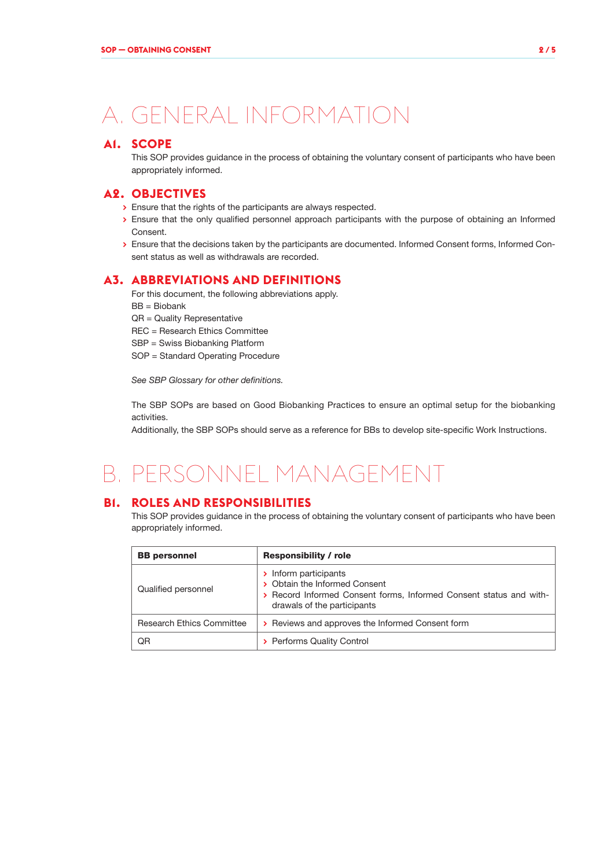# A. GENERAL INFORMATION

### **A1. SCOPE**

This SOP provides guidance in the process of obtaining the voluntary consent of participants who have been appropriately informed.

### **A2. OBJECTIVES**

- **>** Ensure that the rights of the participants are always respected.
- **>** Ensure that the only qualified personnel approach participants with the purpose of obtaining an Informed Consent.
- **>** Ensure that the decisions taken by the participants are documented. Informed Consent forms, Informed Consent status as well as withdrawals are recorded.

### **A3. ABBREVIATIONS AND DEFINITIONS**

For this document, the following abbreviations apply.

- BB = Biobank
- QR = Quality Representative
- REC = Research Ethics Committee
- SBP = Swiss Biobanking Platform
- SOP = Standard Operating Procedure

*See SBP Glossary for other definitions.*

The SBP SOPs are based on Good Biobanking Practices to ensure an optimal setup for the biobanking activities.

Additionally, the SBP SOPs should serve as a reference for BBs to develop site-specific Work Instructions.

# B. PERSONNEL MANAGEMENT

### **B1. ROLES AND RESPONSIBILITIES**

This SOP provides guidance in the process of obtaining the voluntary consent of participants who have been appropriately informed.

| <b>BB</b> personnel              | <b>Responsibility / role</b>                                                                                                                                |  |  |
|----------------------------------|-------------------------------------------------------------------------------------------------------------------------------------------------------------|--|--|
| Qualified personnel              | > Inform participants<br>> Obtain the Informed Consent<br>> Record Informed Consent forms, Informed Consent status and with-<br>drawals of the participants |  |  |
| <b>Research Ethics Committee</b> | > Reviews and approves the Informed Consent form                                                                                                            |  |  |
| QR                               | <b>Performs Quality Control</b>                                                                                                                             |  |  |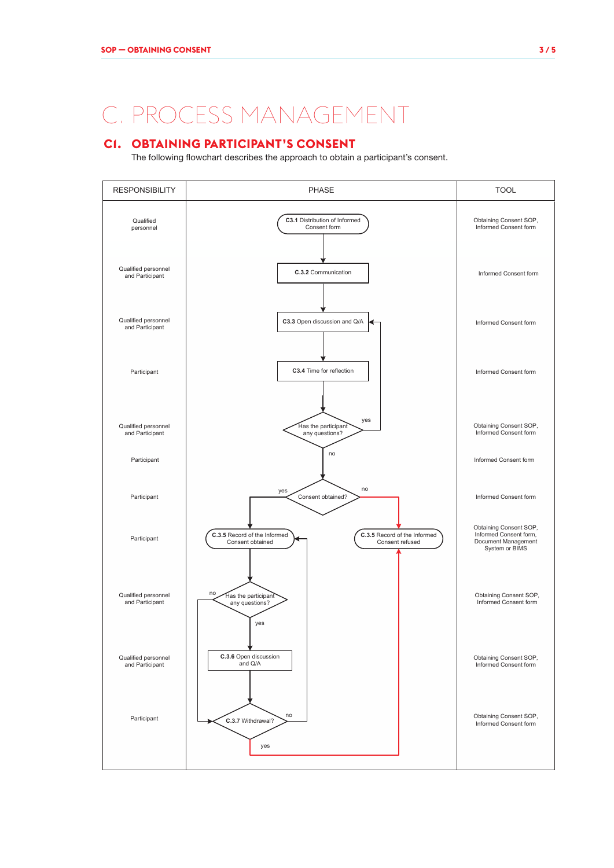# C. PROCESS MANAGEMENT

# **C1. OBTAINING PARTICIPANT'S CONSENT**

The following flowchart describes the approach to obtain a participant's consent.

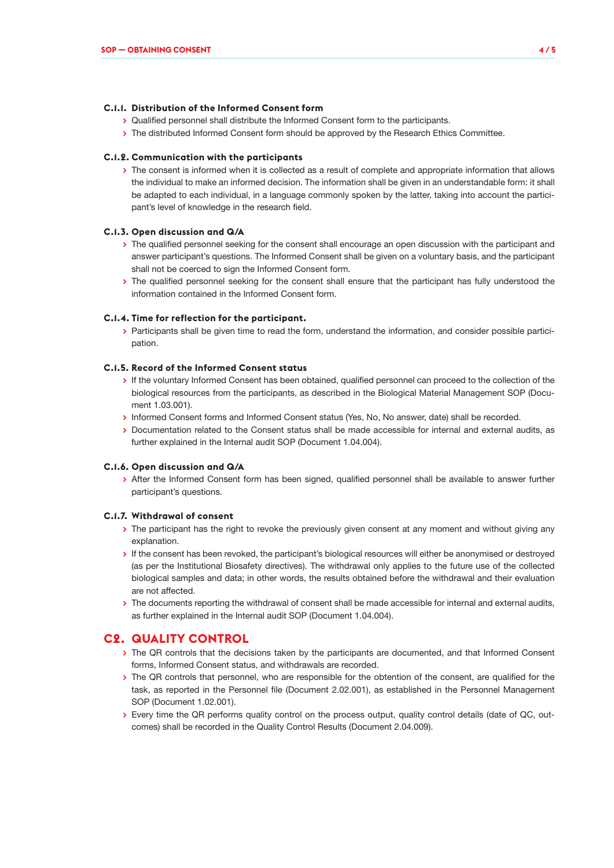#### **C.1.1. Distribution of the Informed Consent form**

- **>** Qualified personnel shall distribute the Informed Consent form to the participants.
- **>** The distributed Informed Consent form should be approved by the Research Ethics Committee.

#### **C.1.2. Communication with the participants**

**>** The consent is informed when it is collected as a result of complete and appropriate information that allows the individual to make an informed decision. The information shall be given in an understandable form: it shall be adapted to each individual, in a language commonly spoken by the latter, taking into account the participant's level of knowledge in the research field.

#### **C.1.3. Open discussion and Q/A**

- **>** The qualified personnel seeking for the consent shall encourage an open discussion with the participant and answer participant's questions. The Informed Consent shall be given on a voluntary basis, and the participant shall not be coerced to sign the Informed Consent form.
- **>** The qualified personnel seeking for the consent shall ensure that the participant has fully understood the information contained in the Informed Consent form.

#### **C.1.4. Time for reflection for the participant.**

**>** Participants shall be given time to read the form, understand the information, and consider possible participation.

#### **C.1.5. Record of the Informed Consent status**

- **>** If the voluntary Informed Consent has been obtained, qualified personnel can proceed to the collection of the biological resources from the participants, as described in the Biological Material Management SOP (Document 1.03.001).
- **>** Informed Consent forms and Informed Consent status (Yes, No, No answer, date) shall be recorded.
- **>** Documentation related to the Consent status shall be made accessible for internal and external audits, as further explained in the Internal audit SOP (Document 1.04.004).

#### **C.1.6. Open discussion and Q/A**

**>** After the Informed Consent form has been signed, qualified personnel shall be available to answer further participant's questions.

#### **C.1.7. Withdrawal of consent**

- **>** The participant has the right to revoke the previously given consent at any moment and without giving any explanation.
- **>** If the consent has been revoked, the participant's biological resources will either be anonymised or destroyed (as per the Institutional Biosafety directives). The withdrawal only applies to the future use of the collected biological samples and data; in other words, the results obtained before the withdrawal and their evaluation are not affected.
- **>** The documents reporting the withdrawal of consent shall be made accessible for internal and external audits, as further explained in the Internal audit SOP (Document 1.04.004).

#### **C2. QUALITY CONTROL**

- **>** The QR controls that the decisions taken by the participants are documented, and that Informed Consent forms, Informed Consent status, and withdrawals are recorded.
- **>** The QR controls that personnel, who are responsible for the obtention of the consent, are qualified for the task, as reported in the Personnel file (Document 2.02.001), as established in the Personnel Management SOP (Document 1.02.001).
- **>** Every time the QR performs quality control on the process output, quality control details (date of QC, outcomes) shall be recorded in the Quality Control Results (Document 2.04.009).